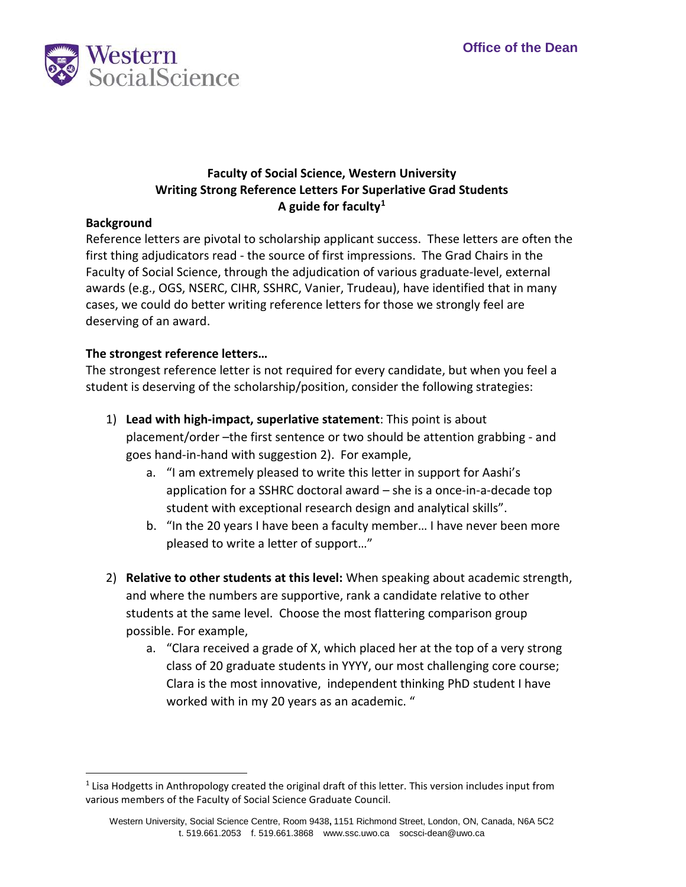

## **Faculty of Social Science, Western University Writing Strong Reference Letters For Superlative Grad Students A guide for faculty[1](#page-0-0)**

## **Background**

 first thing adjudicators read - the source of first impressions. The Grad Chairs in the Reference letters are pivotal to scholarship applicant success. These letters are often the Faculty of Social Science, through the adjudication of various graduate-level, external awards (e.g., OGS, NSERC, CIHR, SSHRC, Vanier, Trudeau), have identified that in many cases, we could do better writing reference letters for those we strongly feel are deserving of an award.

## **The strongest reference letters…**

The strongest reference letter is not required for every candidate, but when you feel a student is deserving of the scholarship/position, consider the following strategies:

- placement/order –the first sentence or two should be attention grabbing and goes hand-in-hand with suggestion 2). For example, 1) **Lead with high-impact, superlative statement**: This point is about
	- a. "I am extremely pleased to write this letter in support for Aashi's application for a SSHRC doctoral award – she is a once-in-a-decade top student with exceptional research design and analytical skills".
	- b. "In the 20 years I have been a faculty member… I have never been more pleased to write a letter of support…"
- and where the numbers are supportive, rank a candidate relative to other students at the same level. Choose the most flattering comparison group possible. For example, 2) **Relative to other students at this level:** When speaking about academic strength,
	- Clara is the most innovative, independent thinking PhD student I have a. "Clara received a grade of X, which placed her at the top of a very strong class of 20 graduate students in YYYY, our most challenging core course; worked with in my 20 years as an academic. "

<span id="page-0-0"></span>j  $<sup>1</sup>$  Lisa Hodgetts in Anthropology created the original draft of this letter. This version includes input from</sup> various members of the Faculty of Social Science Graduate Council.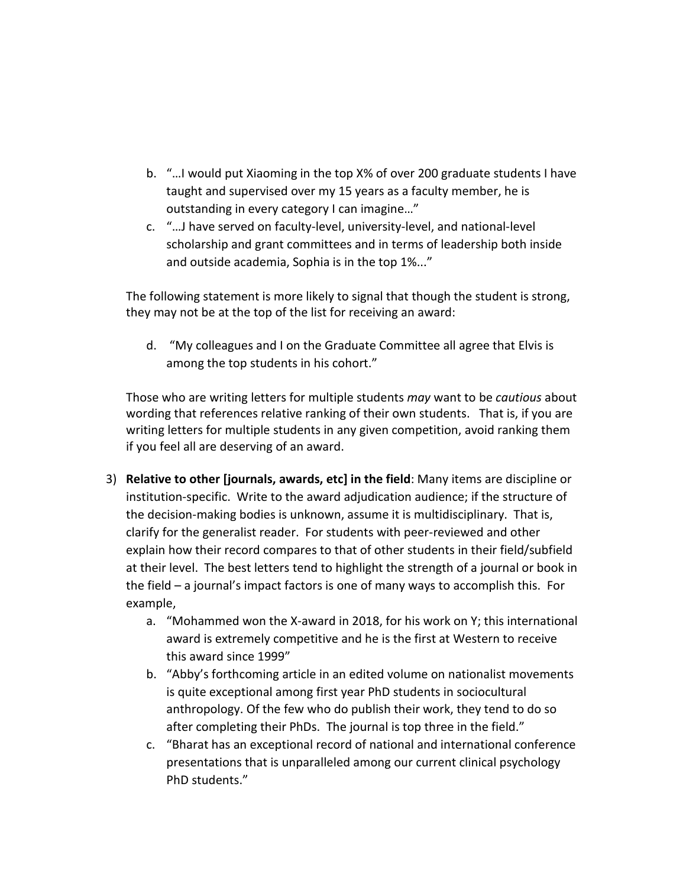- taught and supervised over my 15 years as a faculty member, he is b. "…I would put Xiaoming in the top X% of over 200 graduate students I have outstanding in every category I can imagine…"
- c. "…J have served on faculty-level, university-level, and national-level scholarship and grant committees and in terms of leadership both inside and outside academia, Sophia is in the top 1%..."

 The following statement is more likely to signal that though the student is strong, they may not be at the top of the list for receiving an award:

 d. "My colleagues and I on the Graduate Committee all agree that Elvis is among the top students in his cohort."

Those who are writing letters for multiple students *may* want to be *cautious* about wording that references relative ranking of their own students. That is, if you are writing letters for multiple students in any given competition, avoid ranking them if you feel all are deserving of an award.

- the decision-making bodies is unknown, assume it is multidisciplinary. That is, explain how their record compares to that of other students in their field/subfield at their level. The best letters tend to highlight the strength of a journal or book in the field – a journal's impact factors is one of many ways to accomplish this. For 3) **Relative to other [journals, awards, etc] in the field**: Many items are discipline or institution-specific. Write to the award adjudication audience; if the structure of clarify for the generalist reader. For students with peer-reviewed and other example,
	- award is extremely competitive and he is the first at Western to receive a. "Mohammed won the X-award in 2018, for his work on Y; this international this award since 1999"
	- anthropology. Of the few who do publish their work, they tend to do so after completing their PhDs. The journal is top three in the field." b. "Abby's forthcoming article in an edited volume on nationalist movements is quite exceptional among first year PhD students in sociocultural
	- c. "Bharat has an exceptional record of national and international conference presentations that is unparalleled among our current clinical psychology PhD students."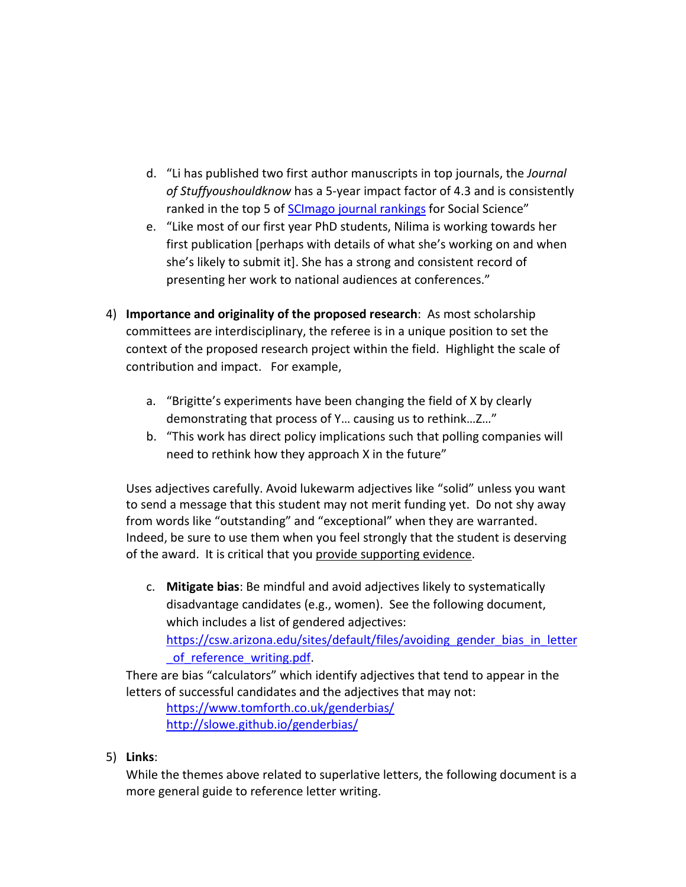- ranked in the top 5 of [SCImago journal rankings](https://www.scimagojr.com/) for Social Science" d. "Li has published two first author manuscripts in top journals, the *Journal of Stuffyoushouldknow* has a 5-year impact factor of 4.3 and is consistently
- she's likely to submit it]. She has a strong and consistent record of e. "Like most of our first year PhD students, Nilima is working towards her first publication [perhaps with details of what she's working on and when presenting her work to national audiences at conferences."
- 4) **Importance and originality of the proposed research**: As most scholarship committees are interdisciplinary, the referee is in a unique position to set the context of the proposed research project within the field. Highlight the scale of contribution and impact. For example,
	- demonstrating that process of Y... causing us to rethink...Z..." a. "Brigitte's experiments have been changing the field of X by clearly
	- b. "This work has direct policy implications such that polling companies will need to rethink how they approach X in the future"

 to send a message that this student may not merit funding yet. Do not shy away Uses adjectives carefully. Avoid lukewarm adjectives like "solid" unless you want from words like "outstanding" and "exceptional" when they are warranted. Indeed, be sure to use them when you feel strongly that the student is deserving of the award. It is critical that you provide supporting evidence.

 c. **Mitigate bias**: Be mindful and avoid adjectives likely to systematically disadvantage candidates (e.g., women). See the following document, which includes a list of gendered adjectives: https://csw.arizona.edu/sites/default/files/avoiding\_gender\_bias\_in\_letter of reference writing.pdf.

 There are bias "calculators" which identify adjectives that tend to appear in the letters of successful candidates and the adjectives that may not:

<https://www.tomforth.co.uk/genderbias/> <http://slowe.github.io/genderbias/>

5) **Links**:

 While the themes above related to superlative letters, the following document is a more general guide to reference letter writing.